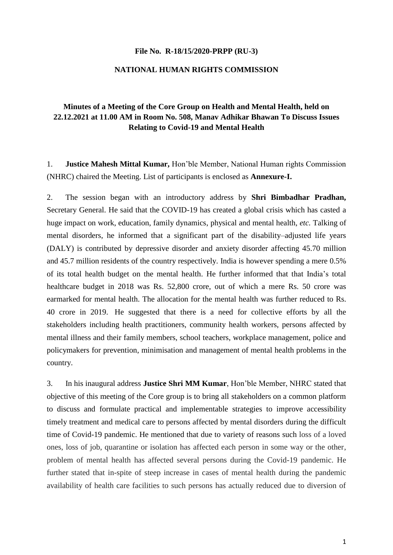#### **File No. [R-18/15/2020-PRPP \(RU-3\)](https://nhrc.eoffice.gov.in/eFile/?x=j*TP8La00uSMxTzb*5-PIpA7aeU-WTOs)**

# **NATIONAL HUMAN RIGHTS COMMISSION**

# **Minutes of a Meeting of the Core Group on Health and Mental Health, held on 22.12.2021 at 11.00 AM in Room No. 508, Manav Adhikar Bhawan To Discuss Issues Relating to Covid-19 and Mental Health**

1. **Justice Mahesh Mittal Kumar,** Hon'ble Member, National Human rights Commission (NHRC) chaired the Meeting. List of participants is enclosed as **Annexure-I.**

2. The session began with an introductory address by **Shri Bimbadhar Pradhan,**  Secretary General. He said that the COVID-19 has created a global crisis which has casted a huge impact on work, education, family dynamics, physical and mental health, *etc.* Talking of mental disorders, he informed that a significant part of the disability–adjusted life years (DALY) is contributed by depressive disorder and anxiety disorder affecting 45.70 million and 45.7 million residents of the country respectively. India is however spending a mere 0.5% of its total health budget on the mental health. He further informed that that India's total healthcare budget in 2018 was Rs. 52,800 crore, out of which a mere Rs. 50 crore was earmarked for mental health. The allocation for the mental health was further reduced to Rs. 40 crore in 2019. He suggested that there is a need for collective efforts by all the stakeholders including health practitioners, community health workers, persons affected by mental illness and their family members, school teachers, workplace management, police and policymakers for prevention, minimisation and management of mental health problems in the country.

3. In his inaugural address **Justice Shri MM Kumar**, Hon'ble Member, NHRC stated that objective of this meeting of the Core group is to bring all stakeholders on a common platform to discuss and formulate practical and implementable strategies to improve accessibility timely treatment and medical care to persons affected by mental disorders during the difficult time of Covid-19 pandemic. He mentioned that due to variety of reasons such loss of a loved ones, loss of job, quarantine or isolation has affected each person in some way or the other, problem of mental health has affected several persons during the Covid-19 pandemic. He further stated that in-spite of steep increase in cases of mental health during the pandemic availability of health care facilities to such persons has actually reduced due to diversion of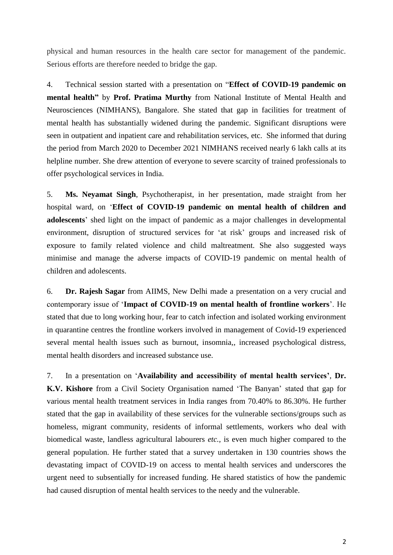physical and human resources in the health care sector for management of the pandemic. Serious efforts are therefore needed to bridge the gap.

4. Technical session started with a presentation on "**Effect of COVID-19 pandemic on mental health"** by **Prof. Pratima Murthy** from National Institute of Mental Health and Neurosciences (NIMHANS), Bangalore. She stated that gap in facilities for treatment of mental health has substantially widened during the pandemic. Significant disruptions were seen in outpatient and inpatient care and rehabilitation services, etc. She informed that during the period from March 2020 to December 2021 NIMHANS received nearly 6 lakh calls at its helpline number. She drew attention of everyone to severe scarcity of trained professionals to offer psychological services in India.

5. **Ms. Neyamat Singh**, Psychotherapist, in her presentation, made straight from her hospital ward, on '**Effect of COVID-19 pandemic on mental health of children and adolescents**' shed light on the impact of pandemic as a major challenges in developmental environment, disruption of structured services for 'at risk' groups and increased risk of exposure to family related violence and child maltreatment. She also suggested ways minimise and manage the adverse impacts of COVID-19 pandemic on mental health of children and adolescents.

6. **Dr. Rajesh Sagar** from AIIMS, New Delhi made a presentation on a very crucial and contemporary issue of '**Impact of COVID-19 on mental health of frontline workers**'. He stated that due to long working hour, fear to catch infection and isolated working environment in quarantine centres the frontline workers involved in management of Covid-19 experienced several mental health issues such as burnout, insomnia,, increased psychological distress, mental health disorders and increased substance use.

7. In a presentation on '**Availability and accessibility of mental health services'**, **Dr. K.V. Kishore** from a Civil Society Organisation named 'The Banyan' stated that gap for various mental health treatment services in India ranges from 70.40% to 86.30%. He further stated that the gap in availability of these services for the vulnerable sections/groups such as homeless, migrant community, residents of informal settlements, workers who deal with biomedical waste, landless agricultural labourers *etc.,* is even much higher compared to the general population. He further stated that a survey undertaken in 130 countries shows the devastating impact of COVID-19 on access to mental health services and underscores the urgent need to subsentially for increased funding. He shared statistics of how the pandemic had caused disruption of mental health services to the needy and the vulnerable.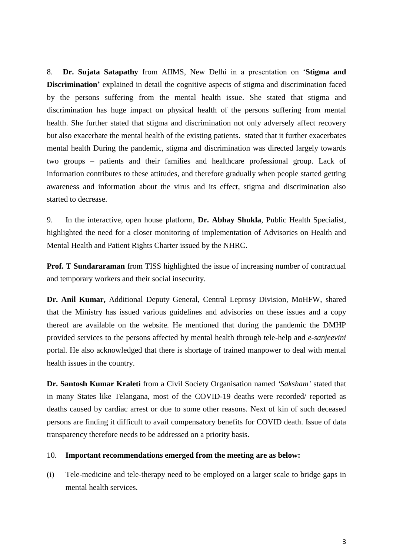8. **Dr. Sujata Satapathy** from AIIMS, New Delhi in a presentation on '**Stigma and Discrimination'** explained in detail the cognitive aspects of stigma and discrimination faced by the persons suffering from the mental health issue. She stated that stigma and discrimination has huge impact on physical health of the persons suffering from mental health. She further stated that stigma and discrimination not only adversely affect recovery but also exacerbate the mental health of the existing patients. stated that it further exacerbates mental health During the pandemic, stigma and discrimination was directed largely towards two groups – patients and their families and healthcare professional group. Lack of information contributes to these attitudes, and therefore gradually when people started getting awareness and information about the virus and its effect, stigma and discrimination also started to decrease.

9. In the interactive, open house platform, **Dr. Abhay Shukla**, Public Health Specialist, highlighted the need for a closer monitoring of implementation of Advisories on Health and Mental Health and Patient Rights Charter issued by the NHRC.

**Prof. T Sundararaman** from TISS highlighted the issue of increasing number of contractual and temporary workers and their social insecurity.

**Dr. Anil Kumar,** Additional Deputy General, Central Leprosy Division, MoHFW, shared that the Ministry has issued various guidelines and advisories on these issues and a copy thereof are available on the website. He mentioned that during the pandemic the DMHP provided services to the persons affected by mental health through tele-help and *e-sanjeevini* portal. He also acknowledged that there is shortage of trained manpower to deal with mental health issues in the country.

**Dr. Santosh Kumar Kraleti** from a Civil Society Organisation named *'Saksham'* stated that in many States like Telangana, most of the COVID-19 deaths were recorded/ reported as deaths caused by cardiac arrest or due to some other reasons. Next of kin of such deceased persons are finding it difficult to avail compensatory benefits for COVID death. Issue of data transparency therefore needs to be addressed on a priority basis.

#### 10. **Important recommendations emerged from the meeting are as below:**

(i) Tele-medicine and tele-therapy need to be employed on a larger scale to bridge gaps in mental health services.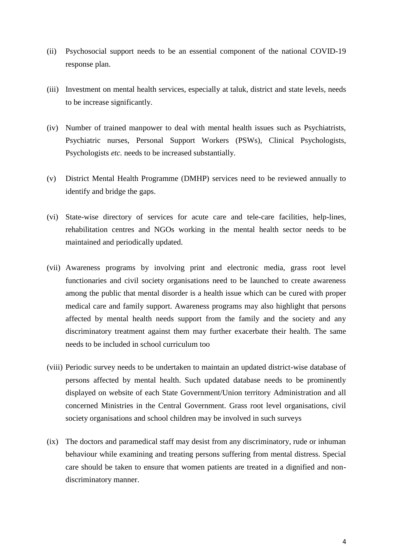- (ii) Psychosocial support needs to be an essential component of the national COVID-19 response plan.
- (iii) Investment on mental health services, especially at taluk, district and state levels, needs to be increase significantly.
- (iv) Number of trained manpower to deal with mental health issues such as Psychiatrists, Psychiatric nurses, Personal Support Workers (PSWs), Clinical Psychologists, Psychologists *etc.* needs to be increased substantially.
- (v) District Mental Health Programme (DMHP) services need to be reviewed annually to identify and bridge the gaps.
- (vi) State-wise directory of services for acute care and tele-care facilities, help-lines, rehabilitation centres and NGOs working in the mental health sector needs to be maintained and periodically updated.
- (vii) Awareness programs by involving print and electronic media, grass root level functionaries and civil society organisations need to be launched to create awareness among the public that mental disorder is a health issue which can be cured with proper medical care and family support. Awareness programs may also highlight that persons affected by mental health needs support from the family and the society and any discriminatory treatment against them may further exacerbate their health. The same needs to be included in school curriculum too
- (viii) Periodic survey needs to be undertaken to maintain an updated district-wise database of persons affected by mental health. Such updated database needs to be prominently displayed on website of each State Government/Union territory Administration and all concerned Ministries in the Central Government. Grass root level organisations, civil society organisations and school children may be involved in such surveys
- (ix) The doctors and paramedical staff may desist from any discriminatory, rude or inhuman behaviour while examining and treating persons suffering from mental distress. Special care should be taken to ensure that women patients are treated in a dignified and nondiscriminatory manner.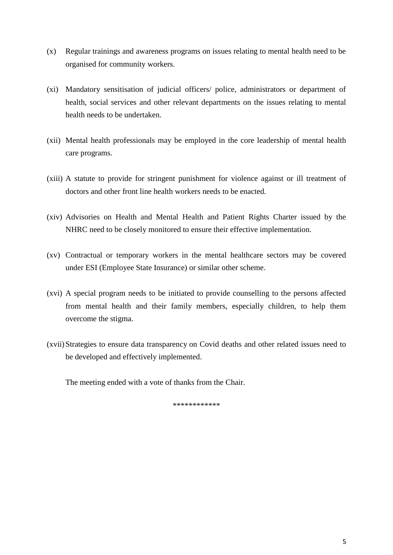- (x) Regular trainings and awareness programs on issues relating to mental health need to be organised for community workers.
- (xi) Mandatory sensitisation of judicial officers/ police, administrators or department of health, social services and other relevant departments on the issues relating to mental health needs to be undertaken.
- (xii) Mental health professionals may be employed in the core leadership of mental health care programs.
- (xiii) A statute to provide for stringent punishment for violence against or ill treatment of doctors and other front line health workers needs to be enacted.
- (xiv) Advisories on Health and Mental Health and Patient Rights Charter issued by the NHRC need to be closely monitored to ensure their effective implementation.
- (xv) Contractual or temporary workers in the mental healthcare sectors may be covered under ESI (Employee State Insurance) or similar other scheme.
- (xvi) A special program needs to be initiated to provide counselling to the persons affected from mental health and their family members, especially children, to help them overcome the stigma.
- (xvii)Strategies to ensure data transparency on Covid deaths and other related issues need to be developed and effectively implemented.

The meeting ended with a vote of thanks from the Chair.

\*\*\*\*\*\*\*\*\*\*\*\*